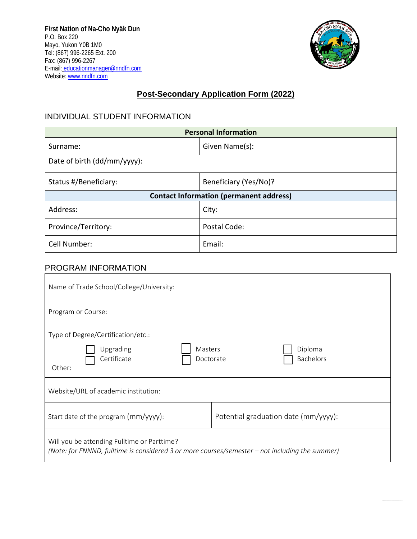

## **Post-Secondary Application Form (2022)**

#### INDIVIDUAL STUDENT INFORMATION

| <b>Personal Information</b>                    |                       |  |  |
|------------------------------------------------|-----------------------|--|--|
| Surname:                                       | Given Name(s):        |  |  |
| Date of birth (dd/mm/yyyy):                    |                       |  |  |
| Status #/Beneficiary:                          | Beneficiary (Yes/No)? |  |  |
| <b>Contact Information (permanent address)</b> |                       |  |  |
| Address:                                       | City:                 |  |  |
| Province/Territory:                            | Postal Code:          |  |  |
| Cell Number:                                   | Email:                |  |  |

#### PROGRAM INFORMATION

| Name of Trade School/College/University:                                                                                                       |                      |  |  |  |
|------------------------------------------------------------------------------------------------------------------------------------------------|----------------------|--|--|--|
| Program or Course:                                                                                                                             |                      |  |  |  |
| Type of Degree/Certification/etc.:<br>Upgrading<br>Masters<br>Certificate<br>Doctorate<br>Other:                                               | Diploma<br>Bachelors |  |  |  |
| Website/URL of academic institution:                                                                                                           |                      |  |  |  |
| Potential graduation date (mm/yyyy):<br>Start date of the program (mm/yyyy):                                                                   |                      |  |  |  |
| Will you be attending Fulltime or Parttime?<br>(Note: for FNNND, fulltime is considered 3 or more courses/semester – not including the summer) |                      |  |  |  |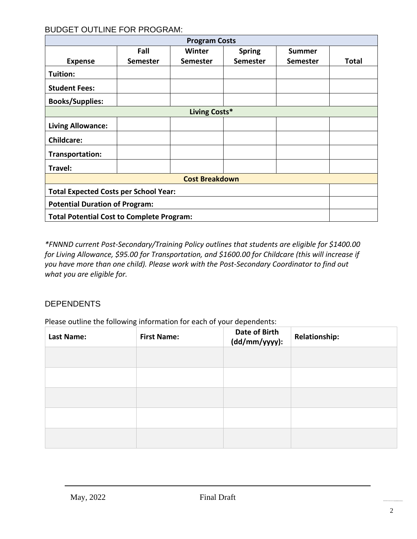#### BUDGET OUTLINE FOR PROGRAM:

| <b>Program Costs</b>                             |                                       |                 |               |                 |              |
|--------------------------------------------------|---------------------------------------|-----------------|---------------|-----------------|--------------|
|                                                  | Fall                                  | Winter          | <b>Spring</b> | <b>Summer</b>   |              |
| <b>Expense</b>                                   | <b>Semester</b>                       | <b>Semester</b> | Semester      | <b>Semester</b> | <b>Total</b> |
| Tuition:                                         |                                       |                 |               |                 |              |
| <b>Student Fees:</b>                             |                                       |                 |               |                 |              |
| <b>Books/Supplies:</b>                           |                                       |                 |               |                 |              |
|                                                  |                                       | Living Costs*   |               |                 |              |
| <b>Living Allowance:</b>                         |                                       |                 |               |                 |              |
| <b>Childcare:</b>                                |                                       |                 |               |                 |              |
| Transportation:                                  |                                       |                 |               |                 |              |
| Travel:                                          |                                       |                 |               |                 |              |
| <b>Cost Breakdown</b>                            |                                       |                 |               |                 |              |
| <b>Total Expected Costs per School Year:</b>     |                                       |                 |               |                 |              |
|                                                  | <b>Potential Duration of Program:</b> |                 |               |                 |              |
| <b>Total Potential Cost to Complete Program:</b> |                                       |                 |               |                 |              |

*\*FNNND current Post-Secondary/Training Policy outlines that students are eligible for \$1400.00 for Living Allowance, \$95.00 for Transportation, and \$1600.00 for Childcare (this will increase if you have more than one child). Please work with the Post-Secondary Coordinator to find out what you are eligible for.* 

#### **DEPENDENTS**

Please outline the following information for each of your dependents:

| <b>Last Name:</b> | <b>First Name:</b> |  | <b>Relationship:</b> |  |
|-------------------|--------------------|--|----------------------|--|
|                   |                    |  |                      |  |
|                   |                    |  |                      |  |
|                   |                    |  |                      |  |
|                   |                    |  |                      |  |
|                   |                    |  |                      |  |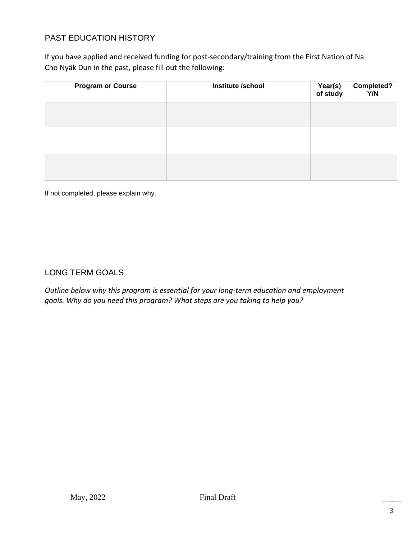## PAST EDUCATION HISTORY

If you have applied and received funding for post-secondary/training from the First Nation of Na Cho Nyäk Dun in the past, please fill out the following:

| <b>Program or Course</b> | Institute /school | Year(s)<br>of study | Completed?<br>Y/N |
|--------------------------|-------------------|---------------------|-------------------|
|                          |                   |                     |                   |
|                          |                   |                     |                   |
|                          |                   |                     |                   |

If not completed, please explain why.

## LONG TERM GOALS

*Outline below why this program is essential for your long-term education and employment goals. Why do you need this program? What steps are you taking to help you?*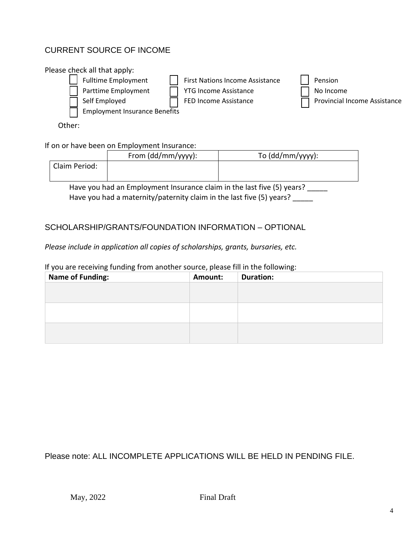## CURRENT SOURCE OF INCOME



Other:

If on or have been on Employment Insurance:

|                                                                        | From $(dd/mm/yyyy)$ : | To (dd/mm/yyyy): |  |
|------------------------------------------------------------------------|-----------------------|------------------|--|
| Claim Period:                                                          |                       |                  |  |
|                                                                        |                       |                  |  |
| Have you had an Employment Insurance claim in the last five (5) years? |                       |                  |  |

Have you had a maternity/paternity claim in the last five (5) years? \_\_\_\_\_

## SCHOLARSHIP/GRANTS/FOUNDATION INFORMATION – OPTIONAL

*Please include in application all copies of scholarships, grants, bursaries, etc.* 

If you are receiving funding from another source, please fill in the following:

| <b>Name of Funding:</b> | Amount: | <b>Duration:</b> |
|-------------------------|---------|------------------|
|                         |         |                  |
|                         |         |                  |
|                         |         |                  |
|                         |         |                  |
|                         |         |                  |
|                         |         |                  |
|                         |         |                  |

Please note: ALL INCOMPLETE APPLICATIONS WILL BE HELD IN PENDING FILE.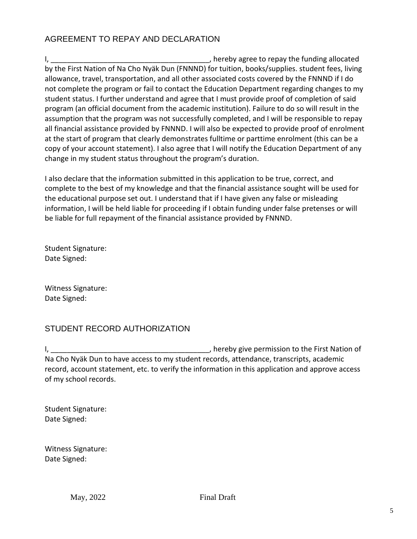## AGREEMENT TO REPAY AND DECLARATION

I,  $\frac{1}{2}$  are  $\frac{1}{2}$  and  $\frac{1}{2}$  are  $\frac{1}{2}$  are  $\frac{1}{2}$  hereby agree to repay the funding allocated by the First Nation of Na Cho Nyäk Dun (FNNND) for tuition, books/supplies. student fees, living allowance, travel, transportation, and all other associated costs covered by the FNNND if I do not complete the program or fail to contact the Education Department regarding changes to my student status. I further understand and agree that I must provide proof of completion of said program (an official document from the academic institution). Failure to do so will result in the assumption that the program was not successfully completed, and I will be responsible to repay all financial assistance provided by FNNND. I will also be expected to provide proof of enrolment at the start of program that clearly demonstrates fulltime or parttime enrolment (this can be a copy of your account statement). I also agree that I will notify the Education Department of any change in my student status throughout the program's duration.

I also declare that the information submitted in this application to be true, correct, and complete to the best of my knowledge and that the financial assistance sought will be used for the educational purpose set out. I understand that if I have given any false or misleading information, I will be held liable for proceeding if I obtain funding under false pretenses or will be liable for full repayment of the financial assistance provided by FNNND.

Student Signature: Date Signed:

Witness Signature: Date Signed:

#### STUDENT RECORD AUTHORIZATION

I, \_\_\_\_\_\_\_\_\_\_\_\_\_\_\_\_\_\_\_\_\_\_\_\_\_\_\_\_\_\_\_\_\_\_\_\_\_\_\_, hereby give permission to the First Nation of Na Cho Nyäk Dun to have access to my student records, attendance, transcripts, academic record, account statement, etc. to verify the information in this application and approve access of my school records.

Student Signature: Date Signed:

Witness Signature: Date Signed: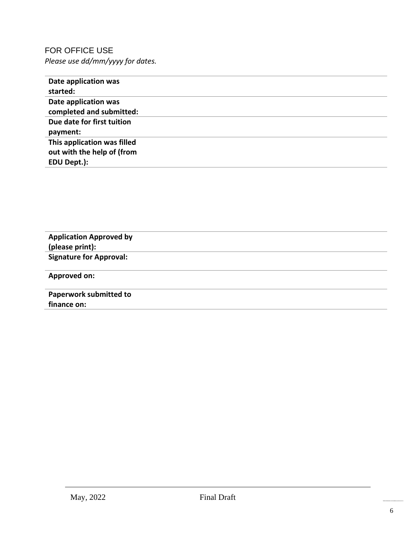# FOR OFFICE USE *Please use dd/mm/yyyy for dates.*

| Date application was        |  |
|-----------------------------|--|
| started:                    |  |
| Date application was        |  |
| completed and submitted:    |  |
| Due date for first tuition  |  |
| payment:                    |  |
| This application was filled |  |
| out with the help of (from  |  |
| EDU Dept.):                 |  |

| <b>Application Approved by</b> |
|--------------------------------|
| (please print):                |
| <b>Signature for Approval:</b> |
|                                |
| Approved on:                   |
|                                |
| <b>Paperwork submitted to</b>  |
| finance on:                    |